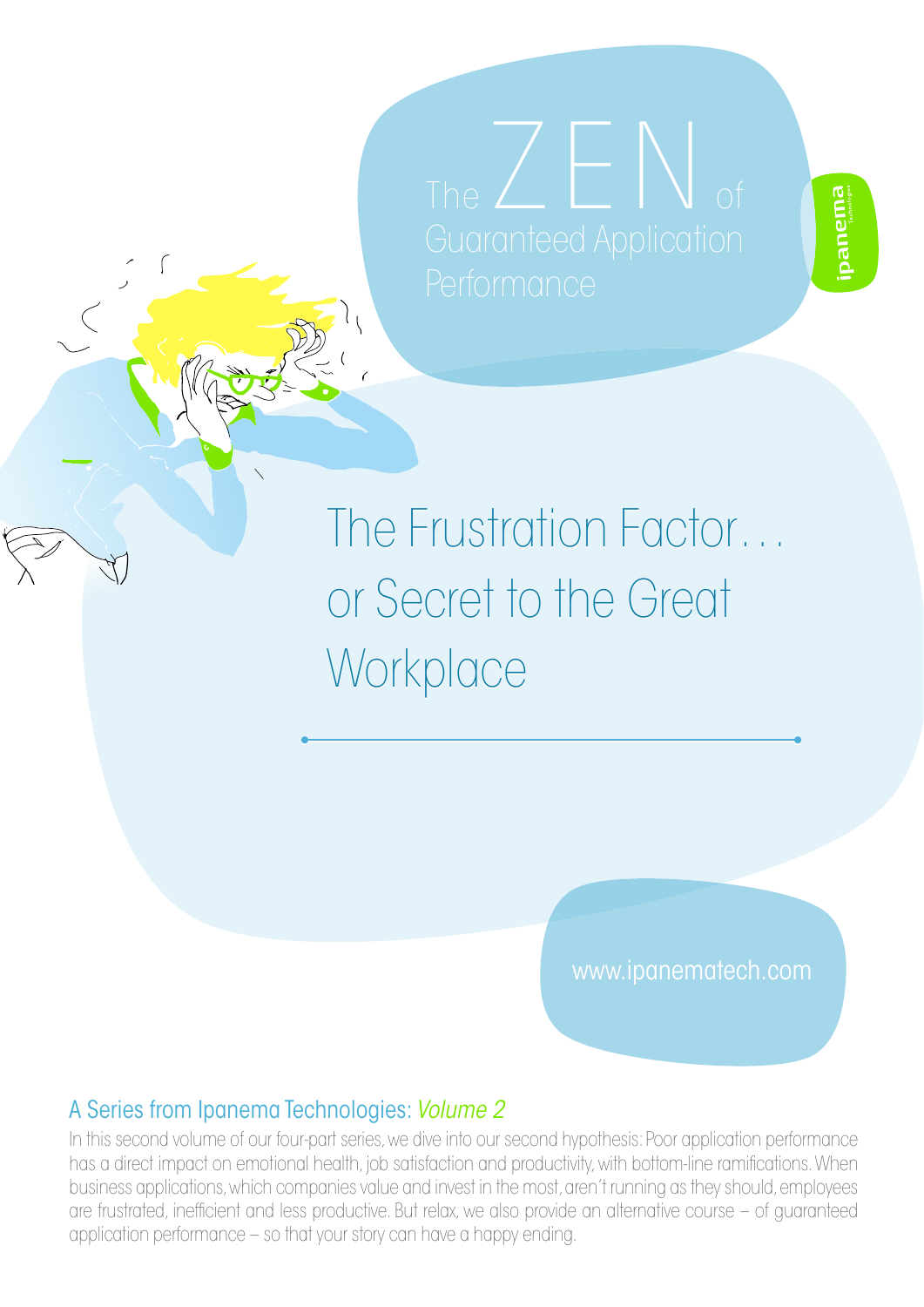The  $\angle$  E  $\triangle$ 

# The Frustration Factor… The Frustration Factor… or Secret to the Great or Secret to the Great Workplace Workplace

www.ipanematech.com

#### A Series from Ipanema Technologies: *Volume 2*

In this second volume of our four-part series, we dive into our second hypothesis: Poor application performance has a direct impact on emotional health, job satisfaction and productivity, with bottom-line ramications. When business applications, which companies value and invest in the most, aren't running as they should, employees are frustrated, inefficient and less productive. But relax, we also provide an alternative course – of guaranteed application performance – so that your story can have a happy ending.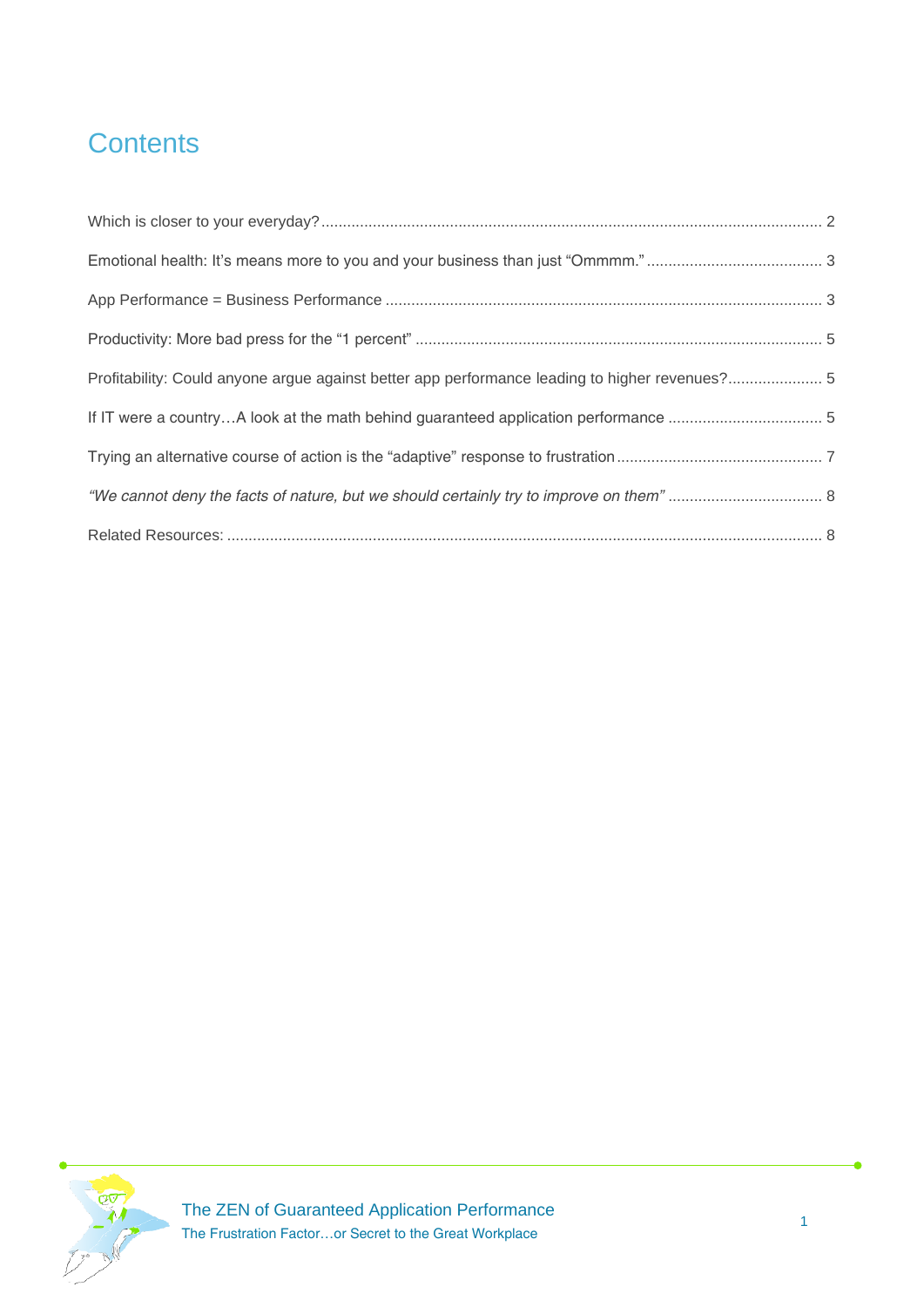# **Contents**

| Profitability: Could anyone argue against better app performance leading to higher revenues? 5 |  |
|------------------------------------------------------------------------------------------------|--|
|                                                                                                |  |
|                                                                                                |  |
|                                                                                                |  |
|                                                                                                |  |

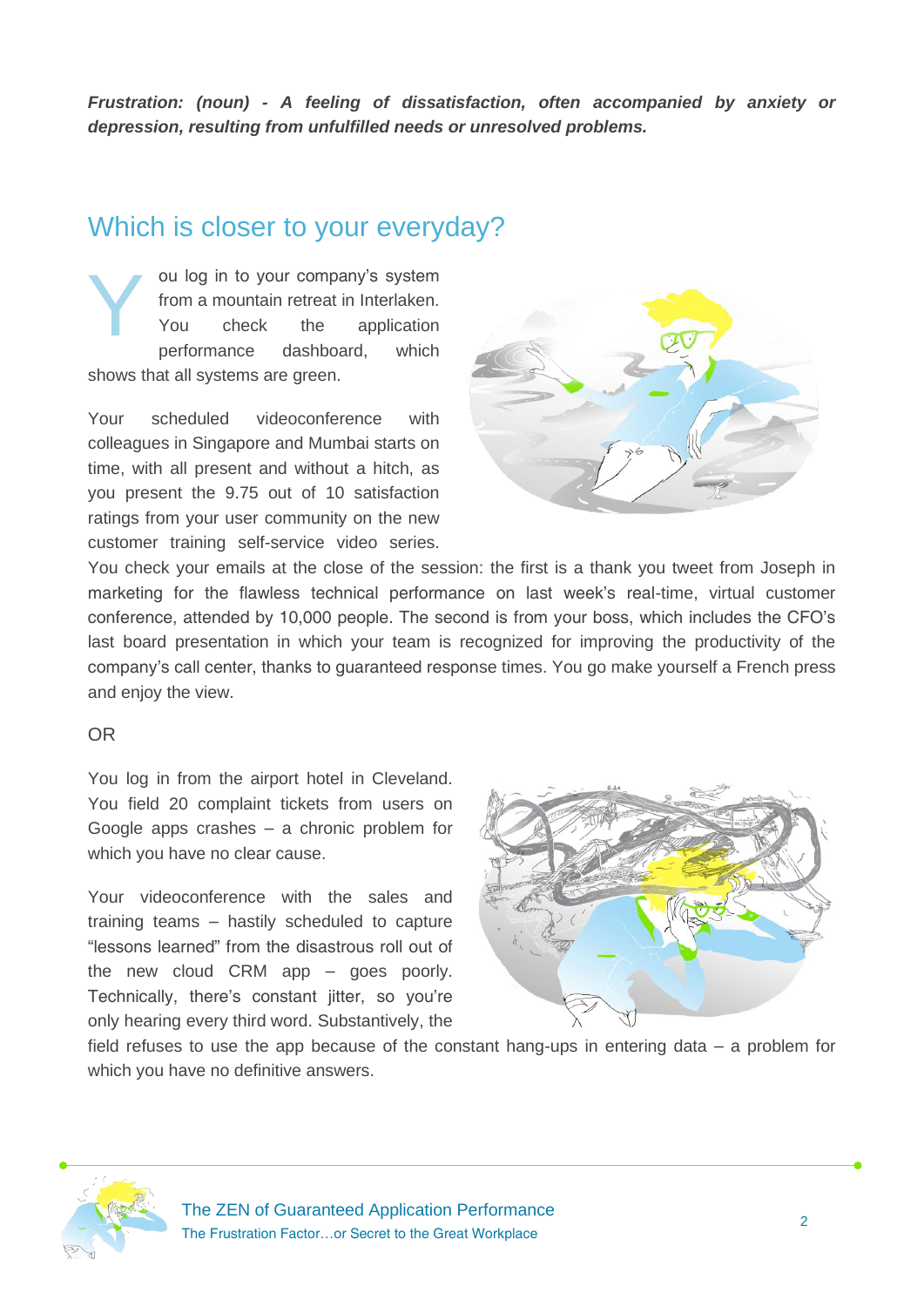*Frustration: (noun) - A feeling of dissatisfaction, often accompanied by anxiety or depression, resulting from unfulfilled needs or unresolved problems.* 

#### <span id="page-2-0"></span>Which is closer to your everyday?

ou log in to your company's system from a mountain retreat in Interlaken. You check the application performance dashboard, which shows that all systems are green. Y

Your scheduled videoconference with colleagues in Singapore and Mumbai starts on time, with all present and without a hitch, as you present the 9.75 out of 10 satisfaction ratings from your user community on the new customer training self-service video series.



You check your emails at the close of the session: the first is a thank you tweet from Joseph in marketing for the flawless technical performance on last week's real-time, virtual customer conference, attended by 10,000 people. The second is from your boss, which includes the CFO's last board presentation in which your team is recognized for improving the productivity of the company's call center, thanks to guaranteed response times. You go make yourself a French press and enjoy the view.

#### OR

You log in from the airport hotel in Cleveland. You field 20 complaint tickets from users on Google apps crashes – a chronic problem for which you have no clear cause.

Your videoconference with the sales and training teams – hastily scheduled to capture "lessons learned" from the disastrous roll out of the new cloud CRM app – goes poorly. Technically, there's constant jitter, so you're only hearing every third word. Substantively, the



field refuses to use the app because of the constant hang-ups in entering data – a problem for which you have no definitive answers.

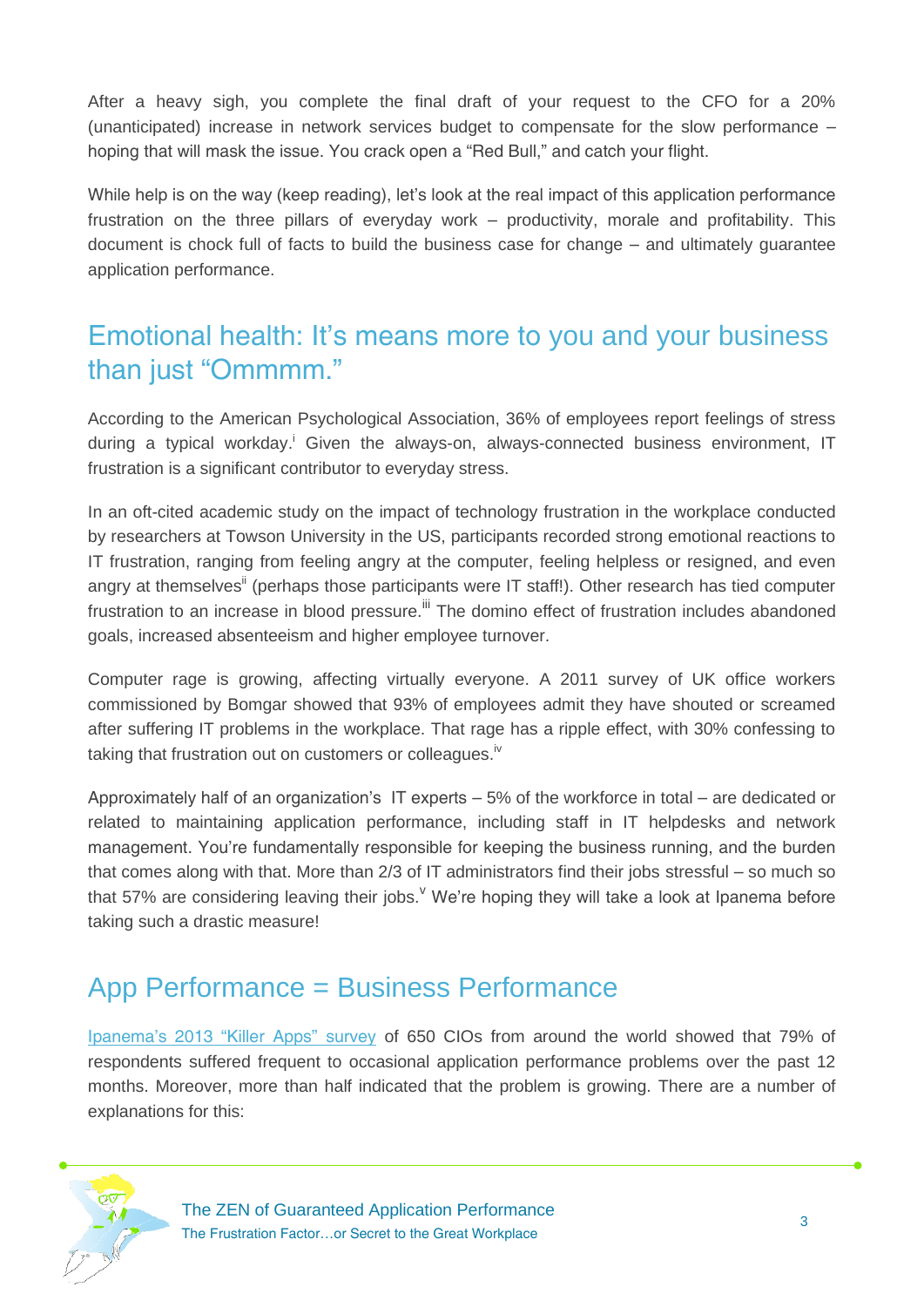After a heavy sigh, you complete the final draft of your request to the CFO for a 20% (unanticipated) increase in network services budget to compensate for the slow performance – hoping that will mask the issue. You crack open a "Red Bull," and catch your flight.

While help is on the way (keep reading), let's look at the real impact of this application performance frustration on the three pillars of everyday work – productivity, morale and profitability. This document is chock full of facts to build the business case for change – and ultimately guarantee application performance.

#### <span id="page-3-0"></span>Emotional health: It's means more to you and your business than just "Ommmm."

According to the American Psychological Association, 36% of employees report feelings of stress during a typical workday.<sup>i</sup> Given the always-on, always-connected business environment, IT frustration is a significant contributor to everyday stress.

In an oft-cited academic study on the impact of technology frustration in the workplace conducted by researchers at Towson University in the US, participants recorded strong emotional reactions to IT frustration, ranging from feeling angry at the computer, feeling helpless or resigned, and even angry at themselves<sup>ii</sup> (perhaps those participants were IT staff!). Other research has tied computer frustration to an increase in blood pressure. III The domino effect of frustration includes abandoned goals, increased absenteeism and higher employee turnover.

Computer rage is growing, affecting virtually everyone. A 2011 survey of UK office workers commissioned by Bomgar showed that 93% of employees admit they have shouted or screamed after suffering IT problems in the workplace. That rage has a ripple effect, with 30% confessing to taking that frustration out on customers or colleagues.<sup>iv</sup>

Approximately half of an organization's IT experts – 5% of the workforce in total – are dedicated or related to maintaining application performance, including staff in IT helpdesks and network management. You're fundamentally responsible for keeping the business running, and the burden that comes along with that. More than 2/3 of IT administrators find their jobs stressful – so much so that 57% are considering leaving their jobs. We're hoping they will take a look at Ipanema before taking such a drastic measure!

#### <span id="page-3-1"></span>App Performance = Business Performance

[Ipanema's 2013 "Killer Apps" survey](http://response.ipanematech.com/WP_2013_Killler_Apps_Survey_Ipanema_Easynet_EN?i=155) of 650 CIOs from around the world showed that 79% of respondents suffered frequent to occasional application performance problems over the past 12 months. Moreover, more than half indicated that the problem is growing. There are a number of explanations for this:

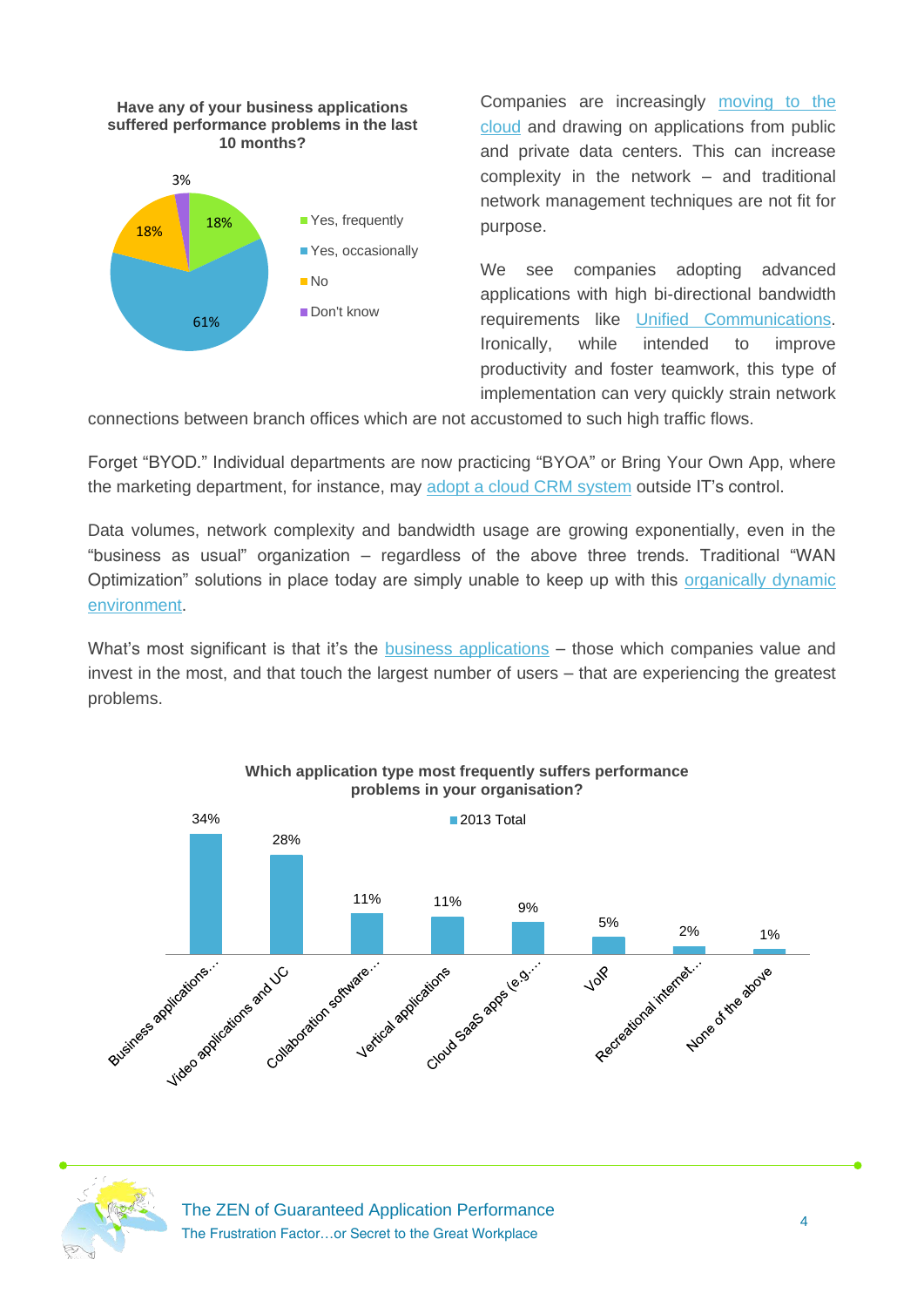#### **Have any of your business applications suffered performance problems in the last 10 months?**



Companies are increasingly [moving to the](http://www.ipanematech.com/en/enable-cloud-applications)  [cloud](http://www.ipanematech.com/en/enable-cloud-applications) and drawing on applications from public and private data centers. This can increase complexity in the network – and traditional network management techniques are not fit for purpose.

We see companies adopting advanced applications with high bi-directional bandwidth requirements like [Unified Communications.](http://www.ipanematech.com/en/protect-unified-communications) Ironically, while intended to improve productivity and foster teamwork, this type of implementation can very quickly strain network

connections between branch offices which are not accustomed to such high traffic flows.

Forget "BYOD." Individual departments are now practicing "BYOA" or Bring Your Own App, where the marketing department, for instance, may [adopt a cloud CRM system](http://response.ipanematech.com/WP_Moving_Office_GoogleApps_SalesForce_SaaS_EN?i=110) outside IT's control.

Data volumes, network complexity and bandwidth usage are growing exponentially, even in the "business as usual" organization – regardless of the above three trends. Traditional "WAN Optimization" solutions in place today are simply unable to keep up with this organically dynamic [environment.](http://www.wan-governance.com/my_weblog/2011/06/application-delivery-come-on-this-is-not-complicated.html)

What's most significant is that it's the [business applications](http://www.wan-governance.com/my_weblog/2012/10/business-apps-first-but-let-internet-shine-in.html) – those which companies value and invest in the most, and that touch the largest number of users – that are experiencing the greatest problems.



#### **Which application type most frequently suffers performance problems in your organisation?**



The ZEN of Guaranteed Application Performance The Frustration Factor…or Secret to the Great Workplace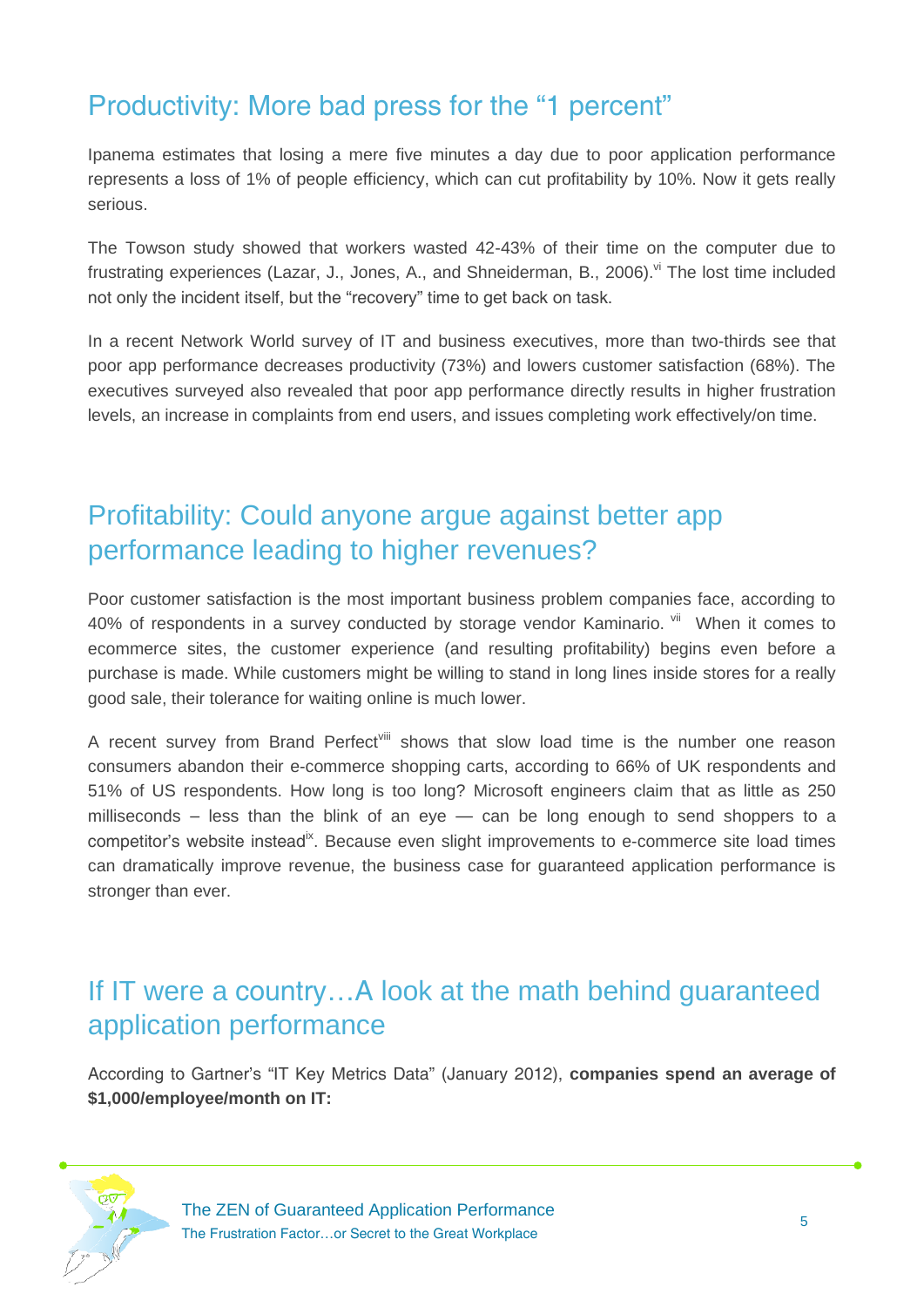#### <span id="page-5-0"></span>Productivity: More bad press for the "1 percent"

Ipanema estimates that losing a mere five minutes a day due to poor application performance represents a loss of 1% of people efficiency, which can cut profitability by 10%. Now it gets really serious.

The Towson study showed that workers wasted 42-43% of their time on the computer due to frustrating experiences (Lazar, J., Jones, A., and Shneiderman, B., 2006).<sup>vi</sup> The lost time included not only the incident itself, but the "recovery" time to get back on task.

In a recent Network World survey of IT and business executives, more than two-thirds see that poor app performance decreases productivity (73%) and lowers customer satisfaction (68%). The executives surveyed also revealed that poor app performance directly results in higher frustration levels, an increase in complaints from end users, and issues completing work effectively/on time.

#### <span id="page-5-1"></span>Profitability: Could anyone argue against better app performance leading to higher revenues?

Poor customer satisfaction is the most important business problem companies face, according to 40% of respondents in a survey conducted by storage vendor Kaminario. Vill When it comes to ecommerce sites, the customer experience (and resulting profitability) begins even before a purchase is made. While customers might be willing to stand in long lines inside stores for a really good sale, their tolerance for waiting online is much lower.

A recent survey from Brand Perfect<sup>viii</sup> shows that slow load time is the number one reason consumers abandon their e-commerce shopping carts, according to 66% of UK respondents and 51% of US respondents. How long is too long? Microsoft engineers claim that as little as 250 milliseconds  $-$  less than the blink of an eye  $-$  can be long enough to send shoppers to a competitor's website instead<sup>ix</sup>. Because even slight improvements to e-commerce site load times can dramatically improve revenue, the business case for guaranteed application performance is stronger than ever.

#### <span id="page-5-2"></span>If IT were a country…A look at the math behind guaranteed application performance

According to Gartner's "IT Key Metrics Data" (January 2012), **companies spend an average of \$1,000/employee/month on IT:**

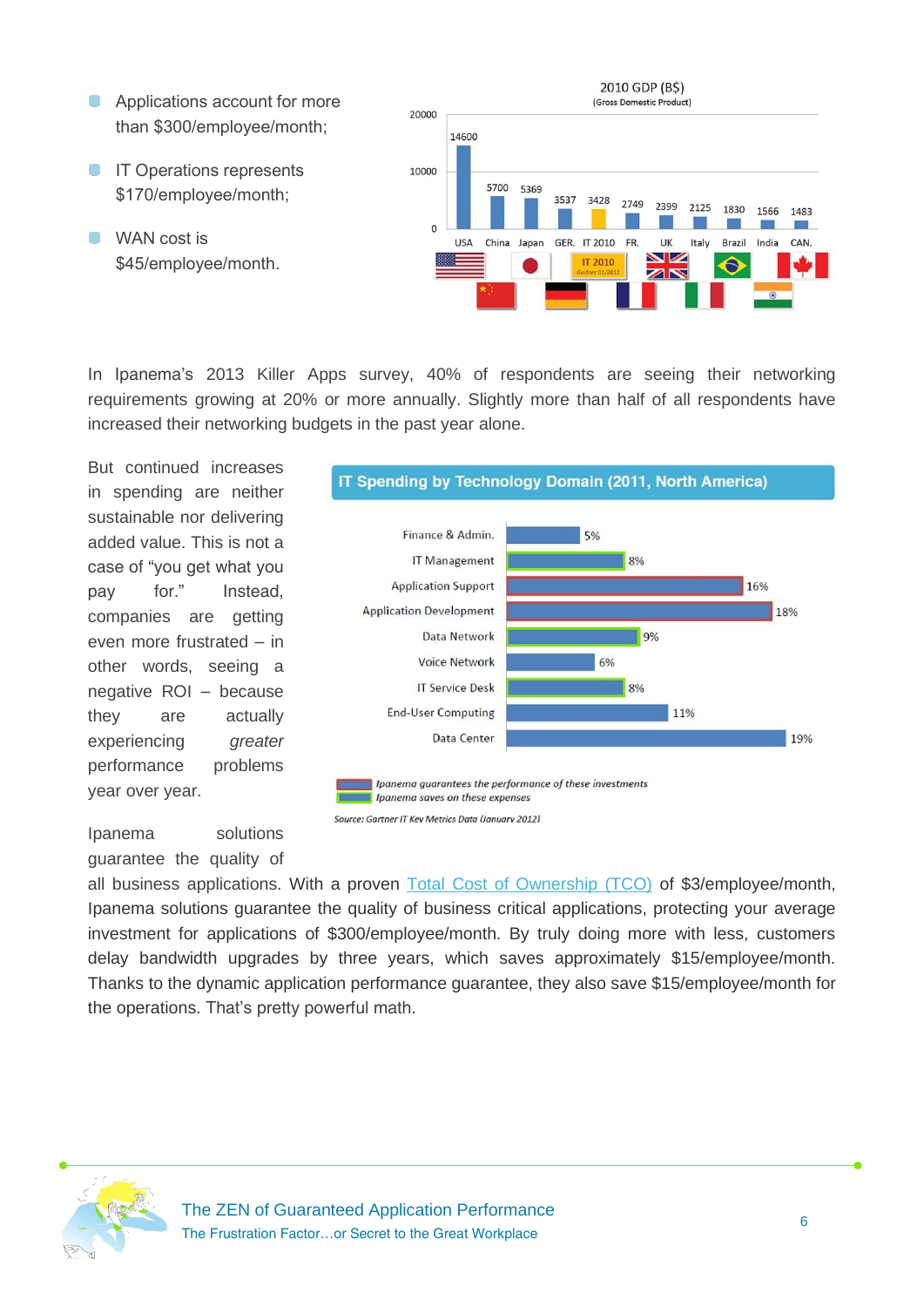- **Applications account for more** than \$300/employee/month;
- **IT Operations represents** \$170/employee/month;
- **WAN** cost is \$45/employee/month.



In Ipanema's 2013 Killer Apps survey, 40% of respondents are seeing their networking requirements growing at 20% or more annually. Slightly more than half of all respondents have increased their networking budgets in the past year alone.

But continued increases in spending are neither sustainable nor delivering added value. This is not a case of "you get what you pay for." Instead, companies are getting even more frustrated – in other words, seeing a negative ROI – because they are actually experiencing *greater* performance problems year over year.



Ipanema solutions guarantee the quality of

all business applications. With a proven [Total Cost of Ownership \(TCO\)](http://www.ipanematech.com/en/reduce-it-spending) of \$3/employee/month, Ipanema solutions guarantee the quality of business critical applications, protecting your average investment for applications of \$300/employee/month. By truly doing more with less, customers delay bandwidth upgrades by three years, which saves approximately \$15/employee/month. Thanks to the dynamic application performance guarantee, they also save \$15/employee/month for the operations. That's pretty powerful math.

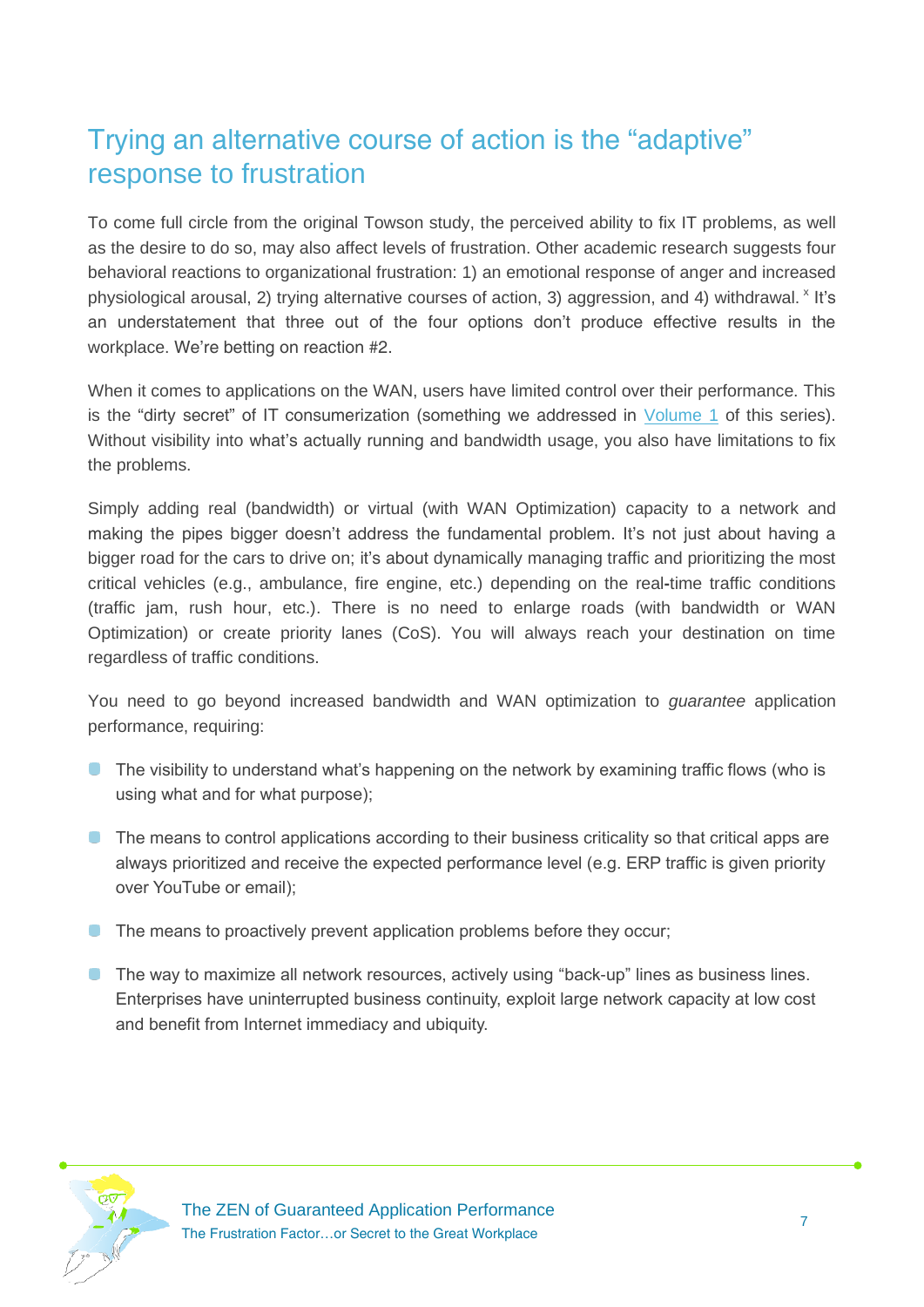## <span id="page-7-0"></span>Trying an alternative course of action is the "adaptive" response to frustration

To come full circle from the original Towson study, the perceived ability to fix IT problems, as well as the desire to do so, may also affect levels of frustration. Other academic research suggests four behavioral reactions to organizational frustration: 1) an emotional response of anger and increased physiological arousal, 2) trying alternative courses of action, 3) aggression, and 4) withdrawal. <sup>x</sup> It's an understatement that three out of the four options don't produce effective results in the workplace. We're betting on reaction #2.

When it comes to applications on the WAN, users have limited control over their performance. This is the "dirty secret" of IT consumerization (something we addressed in [Volume 1](http://response.ipanematech.com/WP_ZEN_The_Zen_of_Guaranteed_Application_Performance_EN?i=154) of this series). Without visibility into what's actually running and bandwidth usage, you also have limitations to fix the problems.

Simply adding real (bandwidth) or virtual (with WAN Optimization) capacity to a network and making the pipes bigger doesn't address the fundamental problem. It's not just about having a bigger road for the cars to drive on; it's about dynamically managing traffic and prioritizing the most critical vehicles (e.g., ambulance, fire engine, etc.) depending on the real**-**time traffic conditions (traffic jam, rush hour, etc.). There is no need to enlarge roads (with bandwidth or WAN Optimization) or create priority lanes (CoS). You will always reach your destination on time regardless of traffic conditions.

You need to go beyond increased bandwidth and WAN optimization to *guarantee* application performance, requiring:

- **The visibility to understand what's happening on the network by examining traffic flows (who is** using what and for what purpose);
- **The means to control applications according to their business criticality so that critical apps are** always prioritized and receive the expected performance level (e.g. ERP traffic is given priority over YouTube or email);
- The means to proactively prevent application problems before they occur;
- **The way to maximize all network resources, actively using "back-up" lines as business lines.** Enterprises have uninterrupted business continuity, exploit large network capacity at low cost and benefit from Internet immediacy and ubiquity.

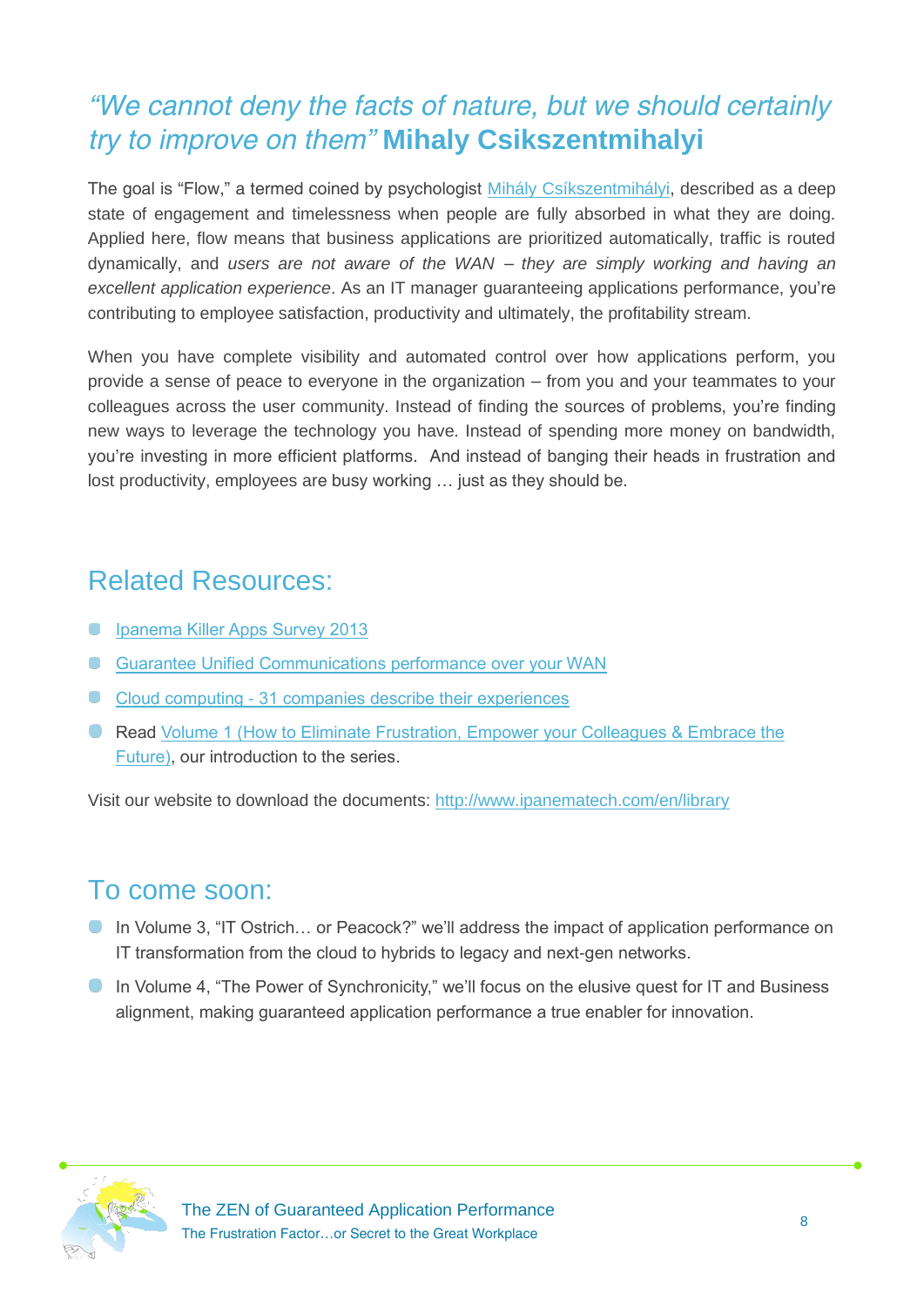## <span id="page-8-0"></span>*"We cannot deny the facts of nature, but we should certainly try to improve on them"* **Mihaly Csikszentmihalyi**

The goal is "Flow," a termed coined by psychologist [Mihály Csíkszentmihályi,](http://en.wikipedia.org/wiki/Mihaly_Csikszentmihalyi) described as a deep state of engagement and timelessness when people are fully absorbed in what they are doing. Applied here, flow means that business applications are prioritized automatically, traffic is routed dynamically, and *users are not aware of the WAN – they are simply working and having an excellent application experience*. As an IT manager guaranteeing applications performance, you're contributing to employee satisfaction, productivity and ultimately, the profitability stream.

When you have complete visibility and automated control over how applications perform, you provide a sense of peace to everyone in the organization – from you and your teammates to your colleagues across the user community. Instead of finding the sources of problems, you're finding new ways to leverage the technology you have. Instead of spending more money on bandwidth, you're investing in more efficient platforms. And instead of banging their heads in frustration and lost productivity, employees are busy working … just as they should be.

#### <span id="page-8-1"></span>Related Resources:

- **[Ipanema Killer Apps Survey](http://response.ipanematech.com/WP_2013_Killler_Apps_Survey_Ipanema_Easynet_EN?i=155) 2013**
- **[Guarantee Unified Communications performance over your WAN](http://response.ipanematech.com/WP_Unified_Communications_EN?i=147)**
- Cloud computing [31 companies describe their experiences](http://response.ipanematech.com/WP_Cloud_Computing_OBS_EN?i=115)
- **Read Volume 1 (How to Eliminate Frustration, Empower your Colleagues & Embrace the** [Future\),](http://response.ipanematech.com/WP_ZEN_The_Zen_of_Guaranteed_Application_Performance_EN?i=154) our introduction to the series.

Visit our website to download the documents: <http://www.ipanematech.com/en/library>

#### To come soon:

- In Volume 3, "IT Ostrich... or Peacock?" we'll address the impact of application performance on IT transformation from the cloud to hybrids to legacy and next-gen networks.
- In Volume 4, "The Power of Synchronicity," we'll focus on the elusive quest for IT and Business alignment, making guaranteed application performance a true enabler for innovation.

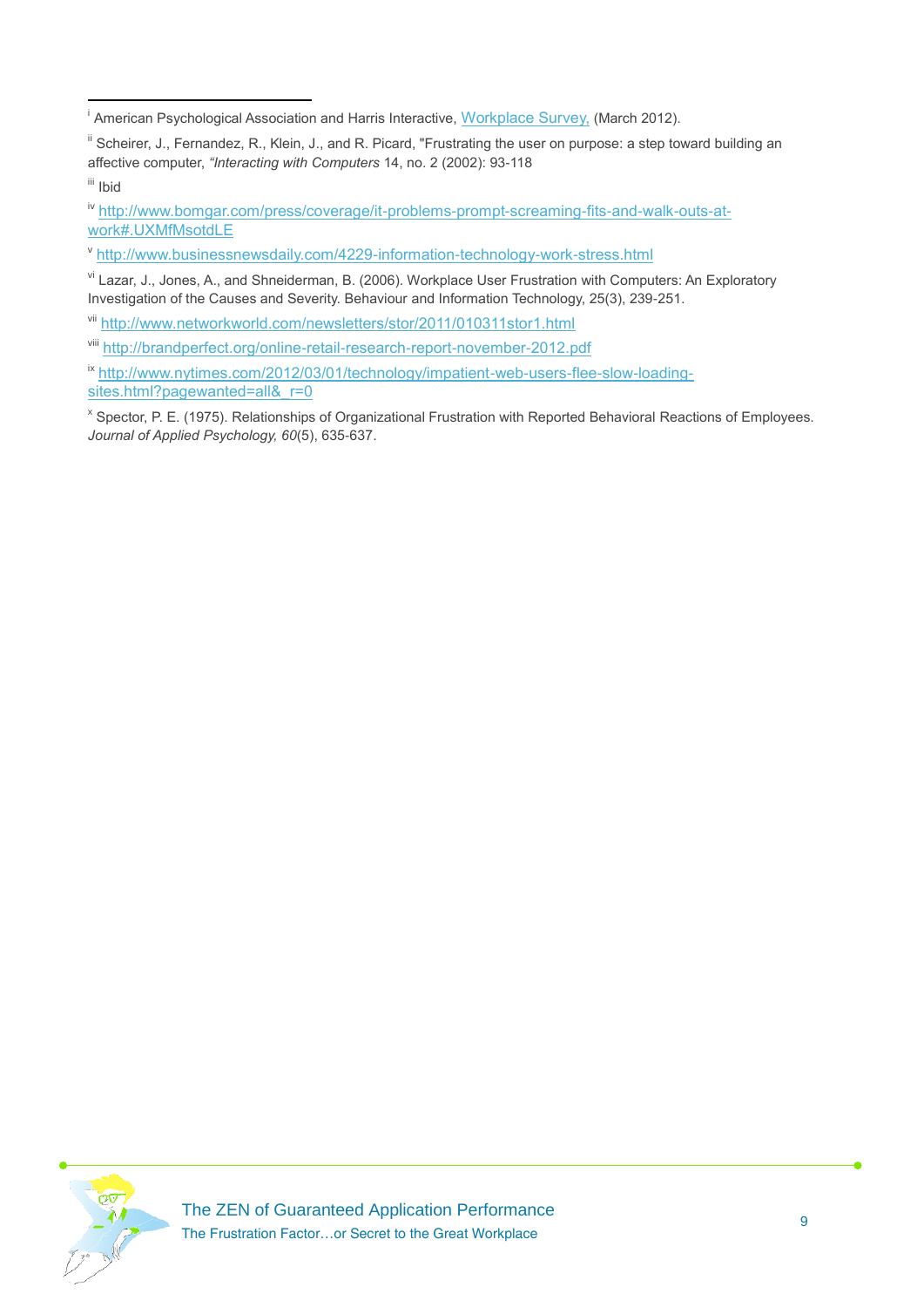vi Lazar, J., Jones, A., and Shneiderman, B. (2006). Workplace User Frustration with Computers: An Exploratory Investigation of the Causes and Severity. Behaviour and Information Technology, 25(3), 239-251.

vii <http://www.networkworld.com/newsletters/stor/2011/010311stor1.html>

- ix [http://www.nytimes.com/2012/03/01/technology/impatient-web-users-flee-slow-loading-](http://www.nytimes.com/2012/03/01/technology/impatient-web-users-flee-slow-loading-sites.html?pagewanted=all&_r=0)
- sites.html?pagewanted=all& r=0

x Spector, P. E. (1975). Relationships of Organizational Frustration with Reported Behavioral Reactions of Employees. *Journal of Applied Psychology, 60*(5), 635-637.



<sup>1</sup> <sup>i</sup> American Psychological Association and Harris Interactive, [Workplace Survey,](http://www.apa.org/news/press/releases/phwa-survey-summary.pdf) (March 2012).

<sup>&</sup>lt;sup>ii</sup> Scheirer, J., Fernandez, R., Klein, J., and R. Picard, "Frustrating the user on purpose: a step toward building an affective computer, *"Interacting with Computers* 14, no. 2 (2002): 93-118

iii Ibid

iv [http://www.bomgar.com/press/coverage/it-problems-prompt-screaming-fits-and-walk-outs-at](http://www.bomgar.com/press/coverage/it-problems-prompt-screaming-fits-and-walk-outs-at-work#.UXMfMsotdLE)[work#.UXMfMsotdLE](http://www.bomgar.com/press/coverage/it-problems-prompt-screaming-fits-and-walk-outs-at-work#.UXMfMsotdLE)

v <http://www.businessnewsdaily.com/4229-information-technology-work-stress.html>

viii <http://brandperfect.org/online-retail-research-report-november-2012.pdf>